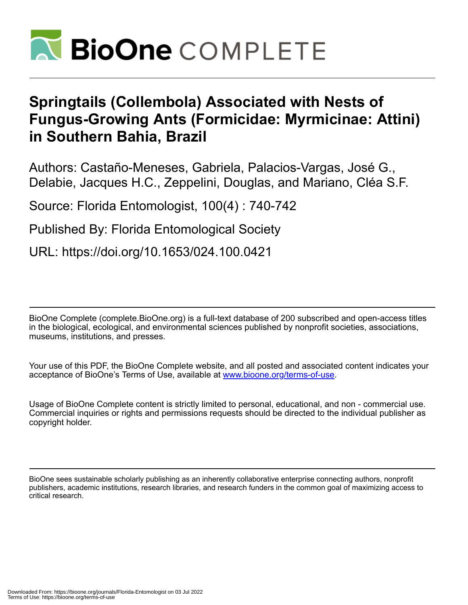

## **Springtails (Collembola) Associated with Nests of Fungus-Growing Ants (Formicidae: Myrmicinae: Attini) in Southern Bahia, Brazil**

Authors: Castaño-Meneses, Gabriela, Palacios-Vargas, José G., Delabie, Jacques H.C., Zeppelini, Douglas, and Mariano, Cléa S.F.

Source: Florida Entomologist, 100(4) : 740-742

Published By: Florida Entomological Society

URL: https://doi.org/10.1653/024.100.0421

BioOne Complete (complete.BioOne.org) is a full-text database of 200 subscribed and open-access titles in the biological, ecological, and environmental sciences published by nonprofit societies, associations, museums, institutions, and presses.

Your use of this PDF, the BioOne Complete website, and all posted and associated content indicates your acceptance of BioOne's Terms of Use, available at www.bioone.org/terms-of-use.

Usage of BioOne Complete content is strictly limited to personal, educational, and non - commercial use. Commercial inquiries or rights and permissions requests should be directed to the individual publisher as copyright holder.

BioOne sees sustainable scholarly publishing as an inherently collaborative enterprise connecting authors, nonprofit publishers, academic institutions, research libraries, and research funders in the common goal of maximizing access to critical research.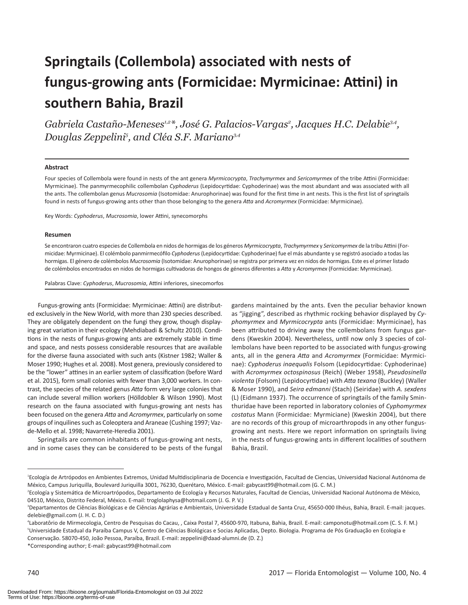# **Springtails (Collembola) associated with nests of fungus-growing ants (Formicidae: Myrmicinae: Attini) in southern Bahia, Brazil**

Gabriela Castaño-Meneses<sup>1,2</sup>\*, José G. Palacios-Vargas<sup>2</sup>, Jacques H.C. Delabie<sup>3,4</sup>, *Douglas Zeppelini5 , and Cléa S.F. Mariano3,4*

#### **Abstract**

Four species of Collembola were found in nests of the ant genera *Myrmicocrypta*, *Trachymyrmex* and *Sericomyrmex* of the tribe Attini (Formicidae: Myrmicinae). The panmyrmecophilic collembolan *Cyphoderus* (Lepidocyrtidae: Cyphoderinae) was the most abundant and was associated with all the ants. The collembolan genus *Mucrosomia* (Isotomidae: Anurophorinae) was found for the first time in ant nests. This is the first list of springtails found in nests of fungus-growing ants other than those belonging to the genera *Atta* and *Acromyrmex* (Formicidae: Myrmicinae).

Key Words: *Cyphoderus*, *Mucrosomia*, lower Attini, synecomorphs

#### **Resumen**

Se encontraron cuatro especies de Collembola en nidos de hormigas de los géneros *Myrmicocrypta*, *Trachymyrmex* y *Sericomyrmex* de la tribu Attini (Formicidae: Myrmicinae). El colémbolo panmirmecófilo *Cyphoderus* (Lepidocyrtidae: Cyphoderinae) fue el más abundante y se registró asociado a todas las hormigas. El género de colémbolos *Mucrosomia* (Isotomidae: Anurophorinae) se registra por primera vez en nidos de hormigas. Este es el primer listado de colémbolos encontrados en nidos de hormigas cultivadoras de hongos de géneros diferentes a *Atta* y *Acromyrmex* (Formicidae: Myrmicinae).

Palabras Clave: *Cyphoderus*, *Mucrosomia*, Attini inferiores, sinecomorfos

Fungus-growing ants (Formicidae: Myrmicinae: Attini) are distributed exclusively in the New World, with more than 230 species described. They are obligately dependent on the fungi they grow, though displaying great variation in their ecology (Mehdiabadi & Schultz 2010). Conditions in the nests of fungus-growing ants are extremely stable in time and space, and nests possess considerable resources that are available for the diverse fauna associated with such ants (Kistner 1982; Waller & Moser 1990; Hughes et al. 2008). Most genera, previously considered to be the "lower" attines in an earlier system of classification (before Ward et al. 2015), form small colonies with fewer than 3,000 workers. In contrast, the species of the related genus *Atta* form very large colonies that can include several million workers (Hölldobler & Wilson 1990). Most research on the fauna associated with fungus-growing ant nests has been focused on the genera *Atta* and *Acromyrmex*, particularly on some groups of inquilines such as Coleoptera and Araneae (Cushing 1997; Vazde-Mello et al. 1998; Navarrete-Heredia 2001).

Springtails are common inhabitants of fungus-growing ant nests, and in some cases they can be considered to be pests of the fungal

gardens maintained by the ants. Even the peculiar behavior known as "jigging", described as rhythmic rocking behavior displayed by *Cyphomyrmex* and *Myrmicocrypta* ants (Formicidae: Myrmicinae), has been attributed to driving away the collembolans from fungus gardens (Kweskin 2004). Nevertheless, until now only 3 species of collembolans have been reported to be associated with fungus-growing ants, all in the genera *Atta* and *Acromyrmex* (Formicidae: Myrmicinae): *Cyphoderus inaequalis* Folsom (Lepidocyrtidae: Cyphoderinae) with *Acromyrmex octospinosus* (Reich) (Weber 1958), *Pseudosinella violenta* (Folsom) (Lepidocyrtidae) with *Atta texana* (Buckley) (Waller & Moser 1990), and *Seira edmanni* (Stach) (Seiridae) with *A. sexdens* (L) (Eidmann 1937). The occurrence of springtails of the family Sminthuridae have been reported in laboratory colonies of *Cyphomyrmex costatus* Mann (Formicidae: Myrmiciane) (Kweskin 2004), but there are no records of this group of microarthropods in any other fungusgrowing ant nests. Here we report information on springtails living in the nests of fungus-growing ants in different localities of southern Bahia, Brazil.

\*Corresponding author; E-mail: gabycast99@hotmail.com

<sup>1</sup> Ecología de Artrópodos en Ambientes Extremos, Unidad Multidisciplinaria de Docencia e Investigación, Facultad de Ciencias, Universidad Nacional Autónoma de México, Campus Juriquilla, Boulevard Juriquilla 3001, 76230, Querétaro, México. E-mail: gabycast99@hotmail.com (G. C. M.)

<sup>2</sup> Ecología y Sistemática de Microartrópodos, Departamento de Ecología y Recursos Naturales, Facultad de Ciencias, Universidad Nacional Autónoma de México, 04510, México, Distrito Federal, México. E-mail: troglolaphysa@hotmail.com (J. G. P. V.)

<sup>&</sup>lt;sup>3</sup>Departamentos de Ciências Biológicas e de Ciências Agrárias e Ambientais, Universidade Estadual de Santa Cruz, 45650-000 Ilhéus, Bahia, Brazil. E-mail: jacques. delebie@gmail.com (J. H. C. D.)

<sup>4</sup> Laboratôrio de Mirmecologia, Centro de Pesquisas do Cacau, , Caixa Postal 7, 45600-970, Itabuna, Bahia, Brazil. E-mail: camponotu@hotmail.com (C. S. F. M.) <sup>5</sup>Universidade Estadual da Paraíba Campus V, Centro de Ciências Biológicas e Socias Aplicadas, Depto. Biologia. Programa de Pós Graduação en Ecologia e Conservação. 58070-450, João Pessoa, Paraíba, Brazil. E-mail: zeppelini@daad-alumni.de (D. Z.)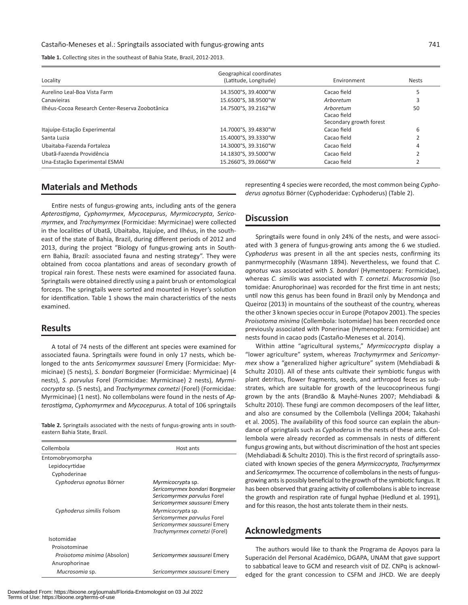**Table 1.** Collecting sites in the southeast of Bahia State, Brazil, 2012-2013.

| Locality                                         | Geographical coordinates<br>(Latitude, Longitude) | Environment                                         | <b>Nests</b> |
|--------------------------------------------------|---------------------------------------------------|-----------------------------------------------------|--------------|
| Aurelino Leal-Boa Vista Farm                     | 14.3500°S, 39.4000°W                              | Cacao field                                         |              |
| Canavieiras                                      | 15.6500°S, 38.9500°W                              | Arboretum                                           |              |
| Ilhéus-Cocoa Research Center-Reserva Zoobotânica | 14.7500°S. 39.2162°W                              | Arboretum<br>Cacao field<br>Secondary growth forest | 50           |
| Itajuípe-Estação Experimental                    | 14.7000°S, 39.4830°W                              | Cacao field                                         | 6            |
| Santa Luzia                                      | 15.4000°S, 39.3330°W                              | Cacao field                                         |              |
| Ubaitaba-Fazenda Fortaleza                       | 14.3000°S. 39.3160°W                              | Cacao field                                         |              |
| Ubatã-Fazenda Providência                        | 14.1830°S, 39.5000°W                              | Cacao field                                         |              |
| Una-Estação Experimental ESMAI                   | 15.2660°S. 39.0660°W                              | Cacao field                                         |              |

#### **Materials and Methods**

Entire nests of fungus-growing ants, including ants of the genera *Apterostigma*, *Cyphomyrmex*, *Mycocepurus*, *Myrmicocrypta*, *Sericomyrmex*, and *Trachymyrmex* (Formicidae: Myrmicinae) were collected in the localities of Ubatã, Ubaitaba, Itajuípe, and Ilhéus, in the southeast of the state of Bahia, Brazil, during different periods of 2012 and 2013, during the project "Biology of fungus-growing ants in Southern Bahia, Brazil: associated fauna and nesting strategy". They were obtained from cocoa plantations and areas of secondary growth of tropical rain forest. These nests were examined for associated fauna. Springtails were obtained directly using a paint brush or entomological forceps. The springtails were sorted and mounted in Hoyer's solution for identification. Table 1 shows the main characteristics of the nests examined.

#### **Results**

A total of 74 nests of the different ant species were examined for associated fauna. Springtails were found in only 17 nests, which belonged to the ants *Sericomyrmex saussurei* Emery (Formicidae: Myrmicinae) (5 nests), *S. bondari* Borgmeier (Formicidae: Myrmicinae) (4 nests), *S. parvulus* Forel (Formicidae: Myrmicinae) 2 nests), *Myrmicocrypta* sp. (5 nests), and *Trachymyrmex cornetzi* (Forel) (Formicidae: Myrmicinae) (1 nest). No collembolans were found in the nests of *Apterostigma*, *Cyphomyrmex* and *Mycocepurus*. A total of 106 springtails

**Table 2.** Springtails associated with the nests of fungus-growing ants in southeastern Bahia State, Brazil.

| Collembola                                   | Host ants                                                                                                          |  |
|----------------------------------------------|--------------------------------------------------------------------------------------------------------------------|--|
| Entomobryomorpha                             |                                                                                                                    |  |
| Lepidocyrtidae                               |                                                                                                                    |  |
| Cyphoderinae                                 |                                                                                                                    |  |
| Cyphoderus agnotus Börner                    | Myrmicocrypta sp.<br>Sericomyrmex bondari Borgmeier<br>Sericomyrmex parvulus Forel<br>Sericomyrmex saussurei Emery |  |
| Cyphoderus similis Folsom                    | Myrmicocrypta sp.<br>Sericomyrmex parvulus Forel<br>Sericomyrmex saussurei Emery<br>Trachymyrmex cornetzi (Forel)  |  |
| Isotomidae                                   |                                                                                                                    |  |
| Proisotominae                                |                                                                                                                    |  |
| Proisotoma minima (Absolon)<br>Anurophorinae | Sericomyrmex saussurei Emery                                                                                       |  |
| Mucrosomia sp.                               | Sericomyrmex saussurei Emery                                                                                       |  |

Downloaded From: https://bioone.org/journals/Florida-Entomologist on 03 Jul 2022 Terms of Use: https://bioone.org/terms-of-use

representing 4 species were recorded, the most common being *Cyphoderus agnotus* Börner (Cyphoderidae: Cyphoderus) (Table 2).

#### **Discussion**

Springtails were found in only 24% of the nests, and were associated with 3 genera of fungus-growing ants among the 6 we studied. *Cyphoderus* was present in all the ant species nests, confirming its panmyrmecophily (Wasmann 1894). Nevertheless, we found that *C. agnotus* was associated with *S. bondari* (Hymentopera: Formicidae), whereas *C. similis* was associated with *T. cornetzi*. *Mucrosomia* (Iso tomidae: Anurophorinae) was recorded for the first time in ant nests; until now this genus has been found in Brazil only by Mendonça and Queiroz (2013) in mountains of the southeast of the country, whereas the other 3 known species occur in Europe (Potapov 2001). The species *Proisotoma minima* (Collembola: Isotomidae) has been recorded once previously associated with Ponerinae (Hymenoptera: Formicidae) ant nests found in cacao pods (Castaño-Meneses et al. 2014).

Within attine "agricultural systems," *Myrmicocrypta* display a "lower agriculture" system, whereas *Trachymyrmex* and *Sericomyrmex* show a "generalized higher agriculture" system (Mehdiabadi & Schultz 2010). All of these ants cultivate their symbiotic fungus with plant detritus, flower fragments, seeds, and arthropod feces as substrates, which are suitable for growth of the leucocoprineous fungi grown by the ants (Brandão & Mayhé-Nunes 2007; Mehdiabadi & Schultz 2010). These fungi are common decomposers of the leaf litter, and also are consumed by the Collembola (Vellinga 2004; Takahashi et al. 2005). The availability of this food source can explain the abundance of springtails such as *Cyphoderus* in the nests of these ants. Collembola were already recorded as commensals in nests of different fungus growing ants, but without discrimination of the host ant species (Mehdiabadi & Schultz 2010). This is the first record of springtails associated with known species of the genera *Myrmicocrypta*, *Trachymyrmex* and *Sericomyrmex*. The occurrence of collembolans in the nests of fungusgrowing ants is possibly beneficial to the growth of the symbiotic fungus. It has been observed that grazing activity of collembolans is able to increase the growth and respiration rate of fungal hyphae (Hedlund et al. 1991), and for this reason, the host ants tolerate them in their nests.

## **Acknowledgments**

The authors would like to thank the Programa de Apoyos para la Superación del Personal Académico, DGAPA, UNAM that gave support to sabbatical leave to GCM and research visit of DZ. CNPq is acknowledged for the grant concession to CSFM and JHCD. We are deeply